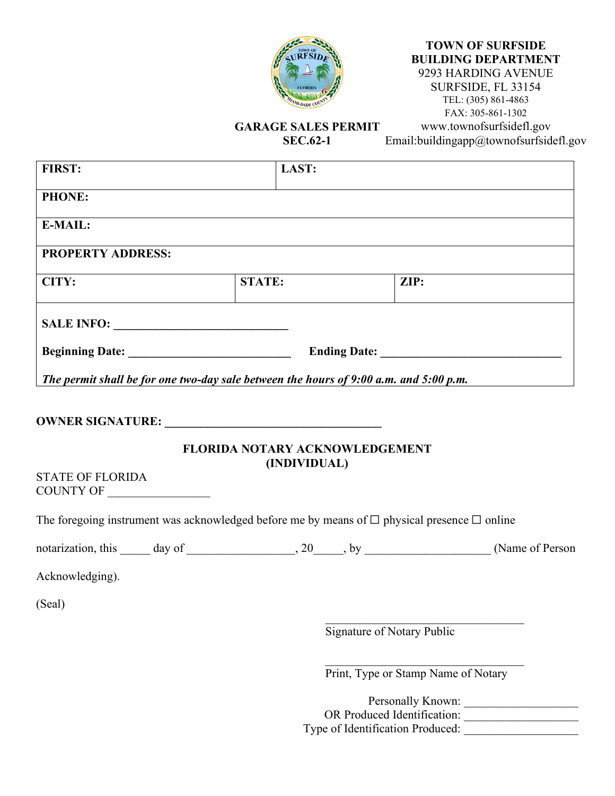

# **TOWN OF SURFSIDE BUILDING DEPARTMENT**

9293 HARDING AVENUE SURFSIDE, FL 33154 TEL: (305) 861-4863 FAX: 305-861-1302 www.townofsurfsidefl.gov Email:buildingapp@townofsurfsidefl.gov

## **GARAGE SALES PERMIT**

**SEC.62-1** 

| <b>FIRST:</b>                                                                                          | LAST:                                          |                                   |                                                                                                           |
|--------------------------------------------------------------------------------------------------------|------------------------------------------------|-----------------------------------|-----------------------------------------------------------------------------------------------------------|
| <b>PHONE:</b>                                                                                          |                                                |                                   |                                                                                                           |
| <b>E-MAIL:</b>                                                                                         |                                                |                                   |                                                                                                           |
| <b>PROPERTY ADDRESS:</b>                                                                               |                                                |                                   |                                                                                                           |
| CITY:                                                                                                  | <b>STATE:</b>                                  | ZIP:                              |                                                                                                           |
| SALE INFO:                                                                                             |                                                |                                   |                                                                                                           |
|                                                                                                        |                                                |                                   |                                                                                                           |
| The permit shall be for one two-day sale between the hours of 9:00 a.m. and 5:00 p.m.                  |                                                |                                   |                                                                                                           |
| <b>STATE OF FLORIDA</b>                                                                                | FLORIDA NOTARY ACKNOWLEDGEMENT<br>(INDIVIDUAL) |                                   |                                                                                                           |
| The foregoing instrument was acknowledged before me by means of $\Box$ physical presence $\Box$ online |                                                |                                   |                                                                                                           |
|                                                                                                        |                                                |                                   | notarization, this $\_\_\_$ day of $\_\_\_\_$ , 20, by $\_\_\_\_\_\_\_$ by $\_\_\_\_\_\_$ (Name of Person |
| Acknowledging).                                                                                        |                                                |                                   |                                                                                                           |
| (Seal)                                                                                                 |                                                |                                   |                                                                                                           |
|                                                                                                        |                                                | <b>Signature of Notary Public</b> |                                                                                                           |
|                                                                                                        |                                                |                                   | Print, Type or Stamp Name of Notary                                                                       |

Personally Known: OR Produced Identification: Type of Identification Produced: